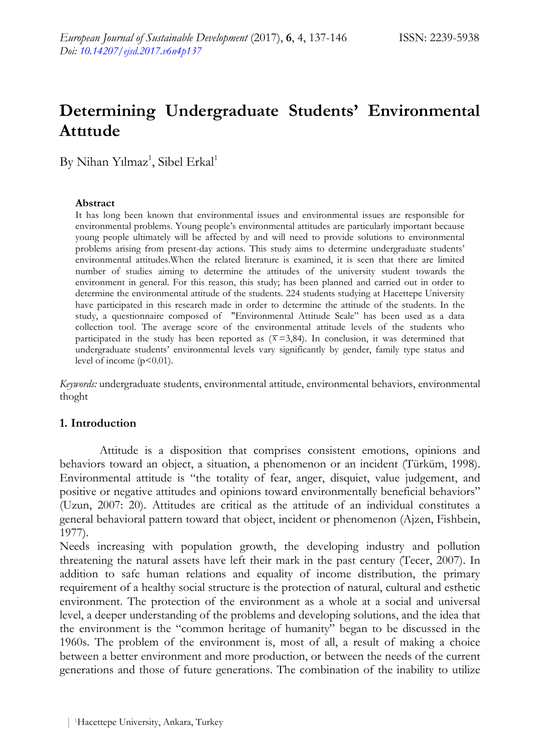# **Determining Undergraduate Students' Environmental Attıtude**

 $\mathrm{By}$  Nihan Yılmaz<sup>1</sup>, Sibel Erkal<sup>1</sup>

### **Abstract**

It has long been known that environmental issues and environmental issues are responsible for environmental problems. Young people's environmental attitudes are particularly important because young people ultimately will be affected by and will need to provide solutions to environmental problems arising from present-day actions. This study aims to determine undergraduate students' environmental attitudes.When the related literature is examined, it is seen that there are limited number of studies aiming to determine the attitudes of the university student towards the environment in general. For this reason, this study; has been planned and carried out in order to determine the environmental attitude of the students. 224 students studying at Hacettepe University have participated in this research made in order to determine the attitude of the students. In the study, a questionnaire composed of "Environmental Attitude Scale" has been used as a data collection tool. The average score of the environmental attitude levels of the students who participated in the study has been reported as  $(\bar{x}=3,84)$ . In conclusion, it was determined that undergraduate students' environmental levels vary significantly by gender, family type status and level of income  $(p<0.01)$ .

*Keywords:* undergraduate students, environmental attitude, environmental behaviors, environmental thoght

# **1. Introduction**

Attitude is a disposition that comprises consistent emotions, opinions and behaviors toward an object, a situation, a phenomenon or an incident (Türküm, 1998). Environmental attitude is "the totality of fear, anger, disquiet, value judgement, and positive or negative attitudes and opinions toward environmentally beneficial behaviors" (Uzun, 2007: 20). Attitudes are critical as the attitude of an individual constitutes a general behavioral pattern toward that object, incident or phenomenon (Ajzen, Fishbein, 1977).

Needs increasing with population growth, the developing industry and pollution threatening the natural assets have left their mark in the past century (Tecer, 2007). In addition to safe human relations and equality of income distribution, the primary requirement of a healthy social structure is the protection of natural, cultural and esthetic environment. The protection of the environment as a whole at a social and universal level, a deeper understanding of the problems and developing solutions, and the idea that the environment is the "common heritage of humanity" began to be discussed in the 1960s. The problem of the environment is, most of all, a result of making a choice between a better environment and more production, or between the needs of the current generations and those of future generations. The combination of the inability to utilize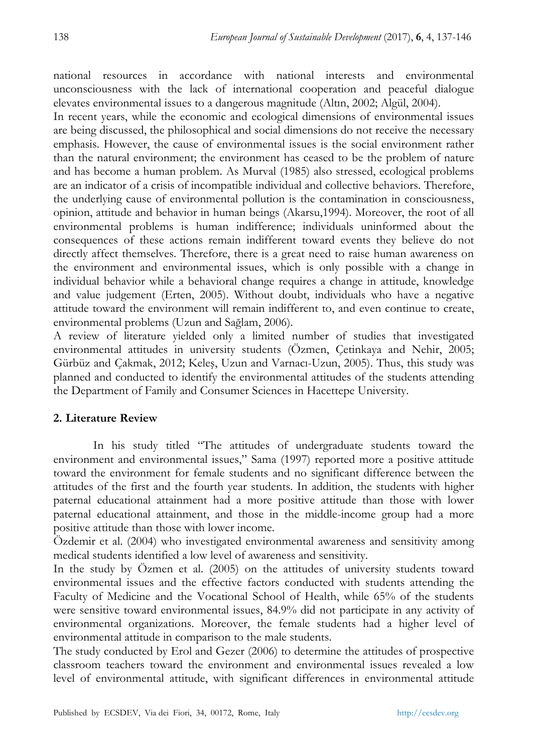national resources in accordance with national interests and environmental unconsciousness with the lack of international cooperation and peaceful dialogue elevates environmental issues to a dangerous magnitude (Altın, 2002; Algül, 2004).

In recent years, while the economic and ecological dimensions of environmental issues are being discussed, the philosophical and social dimensions do not receive the necessary emphasis. However, the cause of environmental issues is the social environment rather than the natural environment; the environment has ceased to be the problem of nature and has become a human problem. As Murval (1985) also stressed, ecological problems are an indicator of a crisis of incompatible individual and collective behaviors. Therefore, the underlying cause of environmental pollution is the contamination in consciousness, opinion, attitude and behavior in human beings (Akarsu,1994). Moreover, the root of all environmental problems is human indifference; individuals uninformed about the consequences of these actions remain indifferent toward events they believe do not directly affect themselves. Therefore, there is a great need to raise human awareness on the environment and environmental issues, which is only possible with a change in individual behavior while a behavioral change requires a change in attitude, knowledge and value judgement (Erten, 2005). Without doubt, individuals who have a negative attitude toward the environment will remain indifferent to, and even continue to create, environmental problems (Uzun and Sağlam, 2006).

A review of literature yielded only a limited number of studies that investigated environmental attitudes in university students (Özmen, Çetinkaya and Nehir, 2005; Gürbüz and Çakmak, 2012; Keleş, Uzun and Varnacı-Uzun, 2005). Thus, this study was planned and conducted to identify the environmental attitudes of the students attending the Department of Family and Consumer Sciences in Hacettepe University.

# **2. Literature Review**

In his study titled "The attitudes of undergraduate students toward the environment and environmental issues," Sama (1997) reported more a positive attitude toward the environment for female students and no significant difference between the attitudes of the first and the fourth year students. In addition, the students with higher paternal educational attainment had a more positive attitude than those with lower paternal educational attainment, and those in the middle-income group had a more positive attitude than those with lower income.

Özdemir et al. (2004) who investigated environmental awareness and sensitivity among medical students identified a low level of awareness and sensitivity.

In the study by Özmen et al. (2005) on the attitudes of university students toward environmental issues and the effective factors conducted with students attending the Faculty of Medicine and the Vocational School of Health, while 65% of the students were sensitive toward environmental issues, 84.9% did not participate in any activity of environmental organizations. Moreover, the female students had a higher level of environmental attitude in comparison to the male students.

The study conducted by Erol and Gezer (2006) to determine the attitudes of prospective classroom teachers toward the environment and environmental issues revealed a low level of environmental attitude, with significant differences in environmental attitude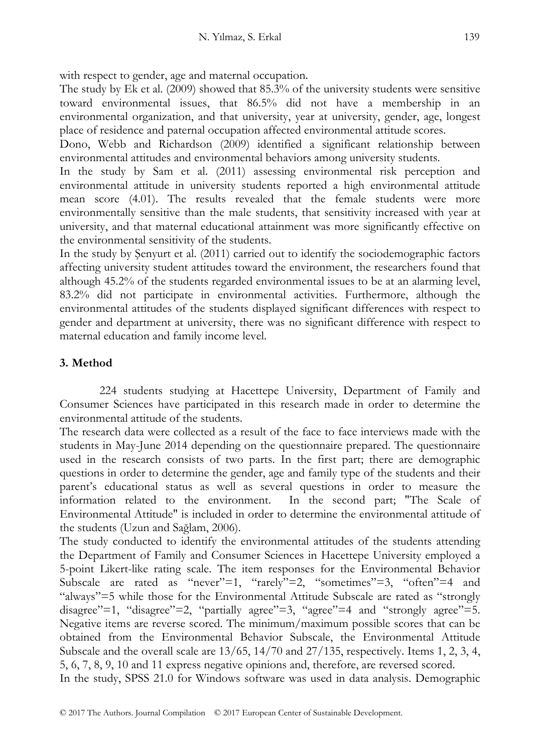with respect to gender, age and maternal occupation.

The study by Ek et al. (2009) showed that 85.3% of the university students were sensitive toward environmental issues, that 86.5% did not have a membership in an environmental organization, and that university, year at university, gender, age, longest place of residence and paternal occupation affected environmental attitude scores.

Dono, Webb and Richardson (2009) identified a significant relationship between environmental attitudes and environmental behaviors among university students.

In the study by Sam et al. (2011) assessing environmental risk perception and environmental attitude in university students reported a high environmental attitude mean score (4.01). The results revealed that the female students were more environmentally sensitive than the male students, that sensitivity increased with year at university, and that maternal educational attainment was more significantly effective on the environmental sensitivity of the students.

In the study by Şenyurt et al. (2011) carried out to identify the sociodemographic factors affecting university student attitudes toward the environment, the researchers found that although 45.2% of the students regarded environmental issues to be at an alarming level, 83.2% did not participate in environmental activities. Furthermore, although the environmental attitudes of the students displayed significant differences with respect to gender and department at university, there was no significant difference with respect to maternal education and family income level.

# **3. Method**

224 students studying at Hacettepe University, Department of Family and Consumer Sciences have participated in this research made in order to determine the environmental attitude of the students.

The research data were collected as a result of the face to face interviews made with the students in May-June 2014 depending on the questionnaire prepared. The questionnaire used in the research consists of two parts. In the first part; there are demographic questions in order to determine the gender, age and family type of the students and their parent's educational status as well as several questions in order to measure the information related to the environment. In the second part; "The Scale of Environmental Attitude" is included in order to determine the environmental attitude of the students (Uzun and Sağlam, 2006).

The study conducted to identify the environmental attitudes of the students attending the Department of Family and Consumer Sciences in Hacettepe University employed a 5-point Likert-like rating scale. The item responses for the Environmental Behavior Subscale are rated as "never"=1, "rarely"=2, "sometimes"=3, "often"=4 and "always"=5 while those for the Environmental Attitude Subscale are rated as "strongly disagree"=1, "disagree"=2, "partially agree"=3, "agree"=4 and "strongly agree"=5. Negative items are reverse scored. The minimum/maximum possible scores that can be obtained from the Environmental Behavior Subscale, the Environmental Attitude Subscale and the overall scale are 13/65, 14/70 and 27/135, respectively. Items 1, 2, 3, 4, 5, 6, 7, 8, 9, 10 and 11 express negative opinions and, therefore, are reversed scored.

In the study, SPSS 21.0 for Windows software was used in data analysis. Demographic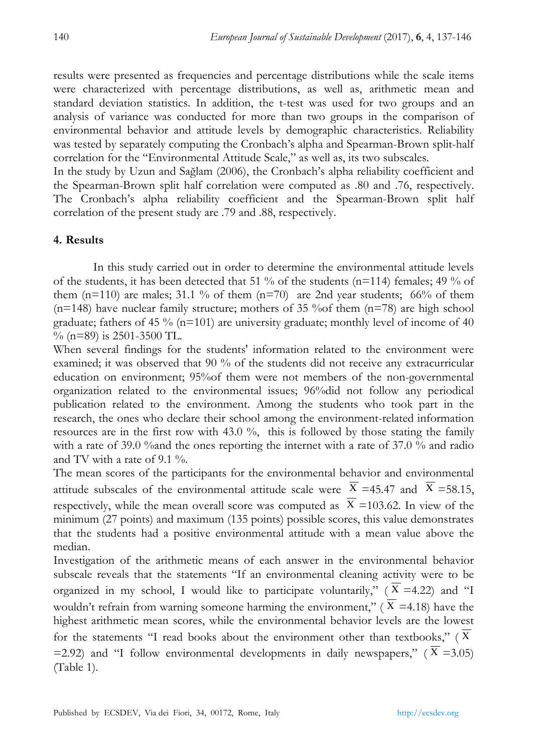results were presented as frequencies and percentage distributions while the scale items were characterized with percentage distributions, as well as, arithmetic mean and standard deviation statistics. In addition, the t-test was used for two groups and an analysis of variance was conducted for more than two groups in the comparison of environmental behavior and attitude levels by demographic characteristics. Reliability was tested by separately computing the Cronbach's alpha and Spearman-Brown split-half correlation for the "Environmental Attitude Scale," as well as, its two subscales.

In the study by Uzun and Sağlam (2006), the Cronbach's alpha reliability coefficient and the Spearman-Brown split half correlation were computed as .80 and .76, respectively. The Cronbach's alpha reliability coefficient and the Spearman-Brown split half correlation of the present study are .79 and .88, respectively.

## **4. Results**

In this study carried out in order to determine the environmental attitude levels of the students, it has been detected that 51 % of the students (n=114) females; 49 % of them  $(n=110)$  are males; 31.1 % of them  $(n=70)$  are 2nd year students; 66% of them  $(n=148)$  have nuclear family structure; mothers of 35 % of them  $(n=78)$  are high school graduate; fathers of 45 % ( $n=101$ ) are university graduate; monthly level of income of 40  $\%$  (n=89) is 2501-3500 TL.

When several findings for the students' information related to the environment were examined; it was observed that 90 % of the students did not receive any extracurricular education on environment; 95%of them were not members of the non-governmental organization related to the environmental issues; 96%did not follow any periodical publication related to the environment. Among the students who took part in the research, the ones who declare their school among the environment-related information resources are in the first row with 43.0 %, this is followed by those stating the family with a rate of 39.0 %and the ones reporting the internet with a rate of 37.0 % and radio and TV with a rate of 9.1 %.

The mean scores of the participants for the environmental behavior and environmental attitude subscales of the environmental attitude scale were  $X = 45.47$  and  $X = 58.15$ , respectively, while the mean overall score was computed as  $X = 103.62$ . In view of the minimum (27 points) and maximum (135 points) possible scores, this value demonstrates that the students had a positive environmental attitude with a mean value above the median.

Investigation of the arithmetic means of each answer in the environmental behavior subscale reveals that the statements "If an environmental cleaning activity were to be organized in my school, I would like to participate voluntarily,"  $(X = 4.22)$  and "I wouldn't refrain from warning someone harming the environment," ( $X = 4.18$ ) have the highest arithmetic mean scores, while the environmental behavior levels are the lowest for the statements "I read books about the environment other than textbooks," ( Χ  $=$  2.92) and "I follow environmental developments in daily newspapers," (X = 3.05) (Table 1).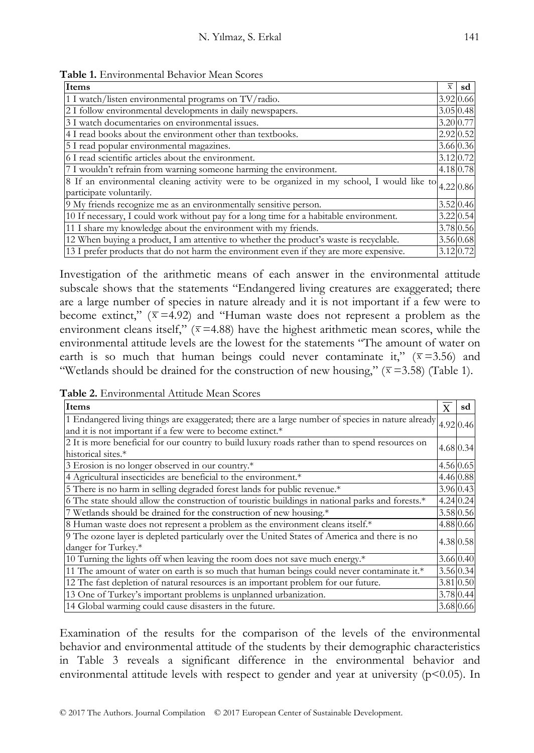| Items                                                                                                                  | $\overline{x}$ | sd             |  |  |
|------------------------------------------------------------------------------------------------------------------------|----------------|----------------|--|--|
| 1 I watch/listen environmental programs on TV/radio.                                                                   |                | 3.92 0.66      |  |  |
| 2 I follow environmental developments in daily newspapers.                                                             |                | 3.05 0.48      |  |  |
| 3 I watch documentaries on environmental issues.                                                                       |                | 3.20 0.77      |  |  |
| 4 I read books about the environment other than textbooks.                                                             |                | 2.92 0.52      |  |  |
| 5 I read popular environmental magazines.                                                                              |                | 3.66 0.36      |  |  |
| 6 I read scientific articles about the environment.                                                                    |                | $3.12 \, 0.72$ |  |  |
| 4.18 0.78<br>7 I wouldn't refrain from warning someone harming the environment.                                        |                |                |  |  |
| 8 If an environmental cleaning activity were to be organized in my school, I would like to<br>participate voluntarily. |                | 4.22 0.86      |  |  |
| 9 My friends recognize me as an environmentally sensitive person.                                                      |                | 3.52 0.46      |  |  |
| 10 If necessary, I could work without pay for a long time for a habitable environment.                                 |                | $3.22 \, 0.54$ |  |  |
| 11 I share my knowledge about the environment with my friends.                                                         |                | 3.78 0.56      |  |  |
| 12 When buying a product, I am attentive to whether the product's waste is recyclable.                                 |                | 3.56 0.68      |  |  |
| 13 I prefer products that do not harm the environment even if they are more expensive.                                 |                | 3.12 0.72      |  |  |

**Table 1.** Environmental Behavior Mean Scores

Investigation of the arithmetic means of each answer in the environmental attitude subscale shows that the statements "Endangered living creatures are exaggerated; there are a large number of species in nature already and it is not important if a few were to become extinct," ( $\bar{x}$  =4.92) and "Human waste does not represent a problem as the environment cleans itself,"  $(\bar{x} = 4.88)$  have the highest arithmetic mean scores, while the environmental attitude levels are the lowest for the statements "The amount of water on earth is so much that human beings could never contaminate it,"  $(\bar{x} = 3.56)$  and "Wetlands should be drained for the construction of new housing," ( $\bar{x}$  =3.58) (Table 1).

| Table 2. Environmental Attitude Mean Scores |  |
|---------------------------------------------|--|
|---------------------------------------------|--|

| Items                                                                                             | X         | sd        |
|---------------------------------------------------------------------------------------------------|-----------|-----------|
| 1 Endangered living things are exaggerated; there are a large number of species in nature already | 4.92 0.46 |           |
| and it is not important if a few were to become extinct.*                                         |           |           |
| 2 It is more beneficial for our country to build luxury roads rather than to spend resources on   |           | 4.68 0.34 |
| historical sites.*                                                                                |           |           |
| 3 Erosion is no longer observed in our country.*                                                  |           | 4.56 0.65 |
| 4 Agricultural insecticides are beneficial to the environment.*                                   |           | 4.46 0.88 |
| 5 There is no harm in selling degraded forest lands for public revenue.*                          |           | 3.96 0.43 |
| 6 The state should allow the construction of touristic buildings in national parks and forests.*  |           | 4.24 0.24 |
| 7 Wetlands should be drained for the construction of new housing.*                                |           | 3.58 0.56 |
| 8 Human waste does not represent a problem as the environment cleans itself.*                     |           | 4.88 0.66 |
| 9 The ozone layer is depleted particularly over the United States of America and there is no      |           | 4.38 0.58 |
| danger for Turkey.*                                                                               |           |           |
| 10 Turning the lights off when leaving the room does not save much energy.*                       |           | 3.66 0.40 |
| 11 The amount of water on earth is so much that human beings could never contaminate it.*         |           | 3.56 0.34 |
| 12 The fast depletion of natural resources is an important problem for our future.                |           | 3.81 0.50 |
| 13 One of Turkey's important problems is unplanned urbanization.                                  |           | 3.78 0.44 |
| 14 Global warming could cause disasters in the future.                                            |           | 3.68 0.66 |

Examination of the results for the comparison of the levels of the environmental behavior and environmental attitude of the students by their demographic characteristics in Table 3 reveals a significant difference in the environmental behavior and environmental attitude levels with respect to gender and year at university  $(p<0.05)$ . In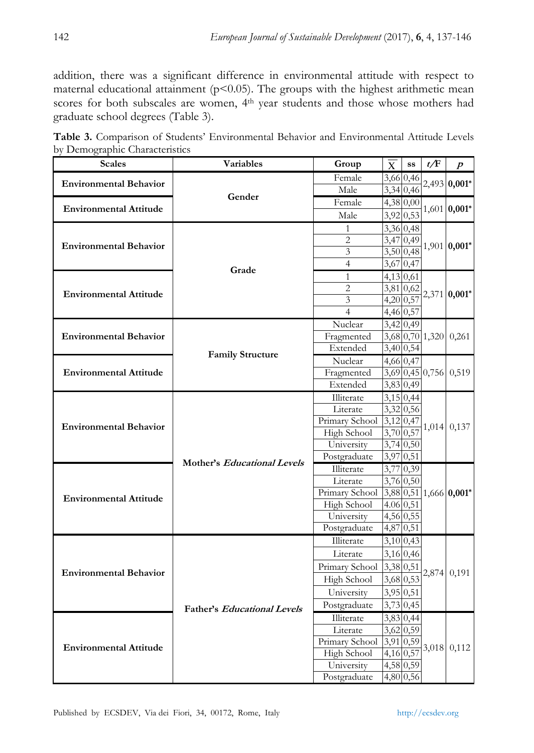addition, there was a significant difference in environmental attitude with respect to maternal educational attainment ( $p$ <0.05). The groups with the highest arithmetic mean scores for both subscales are women, 4<sup>th</sup> year students and those whose mothers had graduate school degrees (Table 3).

|                                |  |  | Table 3. Comparison of Students' Environmental Behavior and Environmental Attitude Levels |  |
|--------------------------------|--|--|-------------------------------------------------------------------------------------------|--|
| by Demographic Characteristics |  |  |                                                                                           |  |

| Scales                        | Variables                          | Group                  | X                      | SS                     | t/F   | $\boldsymbol{p}$       |
|-------------------------------|------------------------------------|------------------------|------------------------|------------------------|-------|------------------------|
| <b>Environmental Behavior</b> |                                    | Female                 |                        | 3,66 0,46              |       | 2,493 0,001*           |
|                               | Gender                             | Male                   |                        | 3,34 0,46              |       |                        |
| <b>Environmental Attitude</b> |                                    | Female                 |                        | 4,38 0,00              |       | 1,601 0,001*           |
|                               |                                    | Male                   |                        | 3,92 0,53              |       |                        |
|                               |                                    | 1                      |                        | 3,36 0,48              |       |                        |
| <b>Environmental Behavior</b> |                                    | $\overline{2}$         | 3,47 0,49              |                        |       | 1,901 0,001*           |
|                               |                                    | 3                      |                        | 3,500,48               |       |                        |
|                               | Grade                              | $\overline{4}$         |                        | 3,67 0,47              |       |                        |
|                               |                                    | $\mathbf{1}$           | 4,13 0,61              |                        |       |                        |
| <b>Environmental Attitude</b> |                                    | $\overline{2}$         |                        | 3,81 0,62              |       | 2,371 0,001*           |
|                               |                                    | 3                      | 4,20 0,57              |                        |       |                        |
|                               |                                    | $\overline{4}$         | 4,46 0,57              |                        |       |                        |
|                               |                                    | Nuclear                |                        | 3,42 0,49              |       |                        |
| <b>Environmental Behavior</b> |                                    | Fragmented             |                        |                        |       | 3,68 0,70 1,320 0,261  |
|                               | <b>Family Structure</b>            | Extended               |                        | 3,40 0,54              |       |                        |
|                               |                                    | Nuclear                |                        | 4,66 0,47              |       | 3,69 0,45 0,756 0,519  |
| <b>Environmental Attitude</b> |                                    | Fragmented             |                        |                        |       |                        |
|                               |                                    | Extended               | 3,83 0,49              |                        |       |                        |
|                               |                                    | Illiterate             |                        | 3,15 0,44              |       |                        |
|                               |                                    | Literate               |                        | 3,32 0,56              | 1,014 | 0,137                  |
| <b>Environmental Behavior</b> |                                    | Primary School         | $3,12$ 0,47            |                        |       |                        |
|                               |                                    | High School            | 3,70 0,57              |                        |       |                        |
|                               |                                    | University             |                        | 3,74 0,50<br>3,97 0,51 |       |                        |
|                               | Mother's Educational Levels        | Postgraduate           |                        |                        |       |                        |
|                               |                                    | Illiterate<br>Literate |                        | 3,77 0,39              |       |                        |
|                               |                                    | Primary School         |                        | 3,76 0,50              |       | 3,88 0,51 1,666 0,001* |
| <b>Environmental Attitude</b> |                                    | High School            | 4.06 0,51              |                        |       |                        |
|                               |                                    | University             |                        | 4,56 0,55              |       |                        |
|                               |                                    | Postgraduate           |                        | 4,87 0,51              |       |                        |
|                               |                                    | Illiterate             |                        | 3,10 0,43              |       |                        |
|                               |                                    | Literate               |                        | 3,16 0,46              |       |                        |
|                               |                                    | Primary School         | 3,38 0,51              |                        |       |                        |
| <b>Environmental Behavior</b> |                                    |                        |                        | 3,68 0,53              |       | 2,874 0,191            |
|                               |                                    | High School            |                        |                        |       |                        |
|                               |                                    | University             |                        | 3,95 0,51              |       |                        |
|                               | <b>Father's Educational Levels</b> | Postgraduate           |                        | 3,73 0,45              |       |                        |
|                               |                                    | Illiterate             |                        | 3,83 0,44              |       | 3,018 0,112            |
|                               |                                    | Literate               |                        | 3,62 0,59              |       |                        |
| <b>Environmental Attitude</b> |                                    | Primary School         | 3,91 0,59              |                        |       |                        |
|                               |                                    | High School            | 4,16 0,57<br>4,58 0,59 |                        |       |                        |
|                               |                                    | University             |                        | 4,80 0,56              |       |                        |
|                               |                                    | Postgraduate           |                        |                        |       |                        |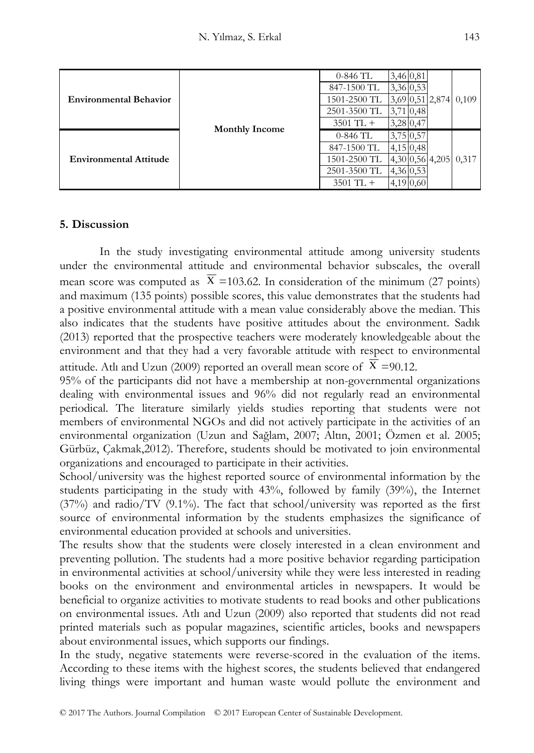|                               |                       | $0-846$ TL   | 3,46 0,81      |                       |                         |
|-------------------------------|-----------------------|--------------|----------------|-----------------------|-------------------------|
|                               |                       | 847-1500 TL  | 3,36 0,53      |                       |                         |
| <b>Environmental Behavior</b> |                       | 1501-2500 TL |                |                       | $3,69$ 0,51 2,874 0,109 |
|                               | <b>Monthly Income</b> | 2501-3500 TL | $3,71 \, 0,48$ |                       |                         |
|                               |                       | $3501$ TL +  | $3,28$ 0,47    |                       |                         |
| <b>Environmental Attitude</b> |                       | $0-846$ TL   | 3,75 0,57      |                       |                         |
|                               |                       | 847-1500 TL  | 4,15,0,48      |                       |                         |
|                               |                       | 1501-2500 TL |                | 4,30 0,56 4,205 0,317 |                         |
|                               |                       | 2501-3500 TL | 4,36 0,53      |                       |                         |
|                               |                       | $3501$ TL +  | 4,19 0,60      |                       |                         |

## **5. Discussion**

In the study investigating environmental attitude among university students under the environmental attitude and environmental behavior subscales, the overall mean score was computed as  $X = 103.62$ . In consideration of the minimum (27 points) and maximum (135 points) possible scores, this value demonstrates that the students had a positive environmental attitude with a mean value considerably above the median. This also indicates that the students have positive attitudes about the environment. Sadık (2013) reported that the prospective teachers were moderately knowledgeable about the environment and that they had a very favorable attitude with respect to environmental attitude. Atli and Uzun (2009) reported an overall mean score of  $X = 90.12$ .

95% of the participants did not have a membership at non-governmental organizations dealing with environmental issues and 96% did not regularly read an environmental periodical. The literature similarly yields studies reporting that students were not members of environmental NGOs and did not actively participate in the activities of an environmental organization (Uzun and Sağlam, 2007; Altın, 2001; Özmen et al. 2005; Gürbüz, Çakmak,2012). Therefore, students should be motivated to join environmental organizations and encouraged to participate in their activities.

School/university was the highest reported source of environmental information by the students participating in the study with 43%, followed by family (39%), the Internet  $(37%)$  and radio/TV  $(9.1%)$ . The fact that school/university was reported as the first source of environmental information by the students emphasizes the significance of environmental education provided at schools and universities.

The results show that the students were closely interested in a clean environment and preventing pollution. The students had a more positive behavior regarding participation in environmental activities at school/university while they were less interested in reading books on the environment and environmental articles in newspapers. It would be beneficial to organize activities to motivate students to read books and other publications on environmental issues. Atlı and Uzun (2009) also reported that students did not read printed materials such as popular magazines, scientific articles, books and newspapers about environmental issues, which supports our findings.

In the study, negative statements were reverse-scored in the evaluation of the items. According to these items with the highest scores, the students believed that endangered living things were important and human waste would pollute the environment and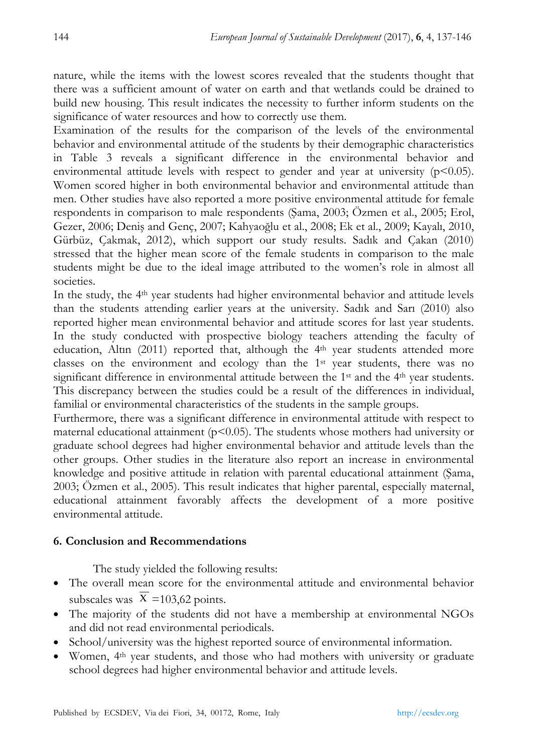nature, while the items with the lowest scores revealed that the students thought that there was a sufficient amount of water on earth and that wetlands could be drained to build new housing. This result indicates the necessity to further inform students on the significance of water resources and how to correctly use them.

Examination of the results for the comparison of the levels of the environmental behavior and environmental attitude of the students by their demographic characteristics in Table 3 reveals a significant difference in the environmental behavior and environmental attitude levels with respect to gender and year at university  $(p<0.05)$ . Women scored higher in both environmental behavior and environmental attitude than men. Other studies have also reported a more positive environmental attitude for female respondents in comparison to male respondents (Şama, 2003; Özmen et al., 2005; Erol, Gezer, 2006; Deniş and Genç, 2007; Kahyaoğlu et al., 2008; Ek et al., 2009; Kayalı, 2010, Gürbüz, Çakmak, 2012), which support our study results. Sadık and Çakan (2010) stressed that the higher mean score of the female students in comparison to the male students might be due to the ideal image attributed to the women's role in almost all societies.

In the study, the 4th year students had higher environmental behavior and attitude levels than the students attending earlier years at the university. Sadık and Sarı (2010) also reported higher mean environmental behavior and attitude scores for last year students. In the study conducted with prospective biology teachers attending the faculty of education, Altın  $(2011)$  reported that, although the  $4<sup>th</sup>$  year students attended more classes on the environment and ecology than the 1st year students, there was no significant difference in environmental attitude between the  $1<sup>st</sup>$  and the  $4<sup>th</sup>$  year students. This discrepancy between the studies could be a result of the differences in individual, familial or environmental characteristics of the students in the sample groups.

Furthermore, there was a significant difference in environmental attitude with respect to maternal educational attainment ( $p$ <0.05). The students whose mothers had university or graduate school degrees had higher environmental behavior and attitude levels than the other groups. Other studies in the literature also report an increase in environmental knowledge and positive attitude in relation with parental educational attainment (Şama, 2003; Özmen et al., 2005). This result indicates that higher parental, especially maternal, educational attainment favorably affects the development of a more positive environmental attitude.

# **6. Conclusion and Recommendations**

The study yielded the following results:

- The overall mean score for the environmental attitude and environmental behavior subscales was  $X = 103,62$  points.
- The majority of the students did not have a membership at environmental NGOs and did not read environmental periodicals.
- School/university was the highest reported source of environmental information.
- Women, 4th year students, and those who had mothers with university or graduate school degrees had higher environmental behavior and attitude levels.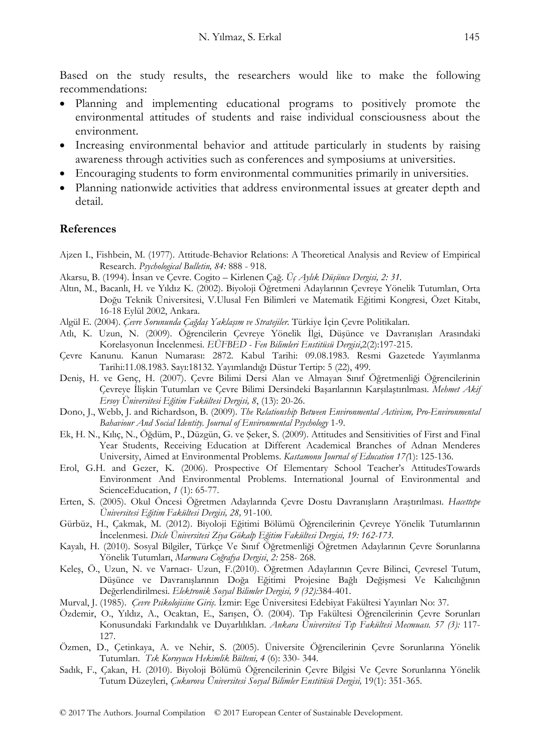Based on the study results, the researchers would like to make the following recommendations:

- Planning and implementing educational programs to positively promote the environmental attitudes of students and raise individual consciousness about the environment.
- Increasing environmental behavior and attitude particularly in students by raising awareness through activities such as conferences and symposiums at universities.
- Encouraging students to form environmental communities primarily in universities.
- Planning nationwide activities that address environmental issues at greater depth and detail.

### **References**

- Ajzen I., Fishbein, M. (1977). Attitude-Behavior Relations: A Theoretical Analysis and Review of Empirical Research. *Psychological Bulletin, 84:* 888 - 918.
- Akarsu, B. (1994). İnsan ve Çevre. Cogito Kirlenen Çağ. *Üç Aylık Düşünce Dergisi, 2: 31.*
- Altın, M., Bacanlı, H. ve Yıldız K. (2002). Biyoloji Öğretmeni Adaylarının Çevreye Yönelik Tutumları, Orta Doğu Teknik Üniversitesi, V.Ulusal Fen Bilimleri ve Matematik Eğitimi Kongresi, Özet Kitabı, 16-18 Eylül 2002, Ankara.
- Algül E. (2004). *Çevre Sorununda Çağdaş Yaklaşım ve Stratejiler.* Türkiye İçin Çevre Politikaları.
- Atlı, K. Uzun, N. (2009). Öğrencilerin Çevreye Yönelik İlgi, Düşünce ve Davranışları Arasındaki Korelasyonun İncelenmesi. *EÜFBED - Fen Bilimleri Enstitüsü Dergisi*,2(2):197-215.
- Çevre Kanunu. Kanun Numarası: 2872. Kabul Tarihi: 09.08.1983. Resmi Gazetede Yayımlanma Tarihi:11.08.1983. Sayı:18132. Yayımlandığı Düstur Tertip: 5 (22), 499.
- Deniş, H. ve Genç, H. (2007). Çevre Bilimi Dersi Alan ve Almayan Sınıf Öğretmenliği Öğrencilerinin Çevreye İlişkin Tutumları ve Çevre Bilimi Dersindeki Başarılarının Karşılaştırılması. *Mehmet Akif Ersoy Üniversitesi Eğitim Fakültesi Dergisi, 8*, (13): 20-26.
- Dono, J., Webb, J. and Richardson, B. (2009). *The Relationship Between Environmental Activism, Pro-Environmental Bahaviour And Social Identity*. *Journal of Environmental Psychology* 1-9.
- Ek, H. N., Kılıç, N., Öğdüm, P., Düzgün, G. ve Şeker, S. (2009). Attitudes and Sensitivities of First and Final Year Students, Receiving Education at Different Academical Branches of Adnan Menderes University, Aimed at Environmental Problems. *Kastamonu Journal of Education 17(*1): 125-136.
- Erol, G.H. and Gezer, K. (2006). Prospective Of Elementary School Teacher's AttitudesTowards Environment And Environmental Problems. International Journal of Environmental and ScienceEducation, *1* (1): 65-77.
- Erten, S. (2005). Okul Öncesi Öğretmen Adaylarında Çevre Dostu Davranışların Araştırılması. *Hacettepe Üniversitesi Eğitim Fakültesi Dergisi, 28,* 91-100.
- Gürbüz, H., Çakmak, M. (2012). Biyoloji Eğitimi Bölümü Öğrencilerinin Çevreye Yönelik Tutumlarının İncelenmesi. *Dicle Üniversitesi Ziya Gökalp Eğitim Fakültesi Dergisi, 19: 162-173.*
- Kayalı, H. (2010). Sosyal Bilgiler, Türkçe Ve Sınıf Öğretmenliği Öğretmen Adaylarının Çevre Sorunlarına Yönelik Tutumları, *Marmara Coğrafya Dergisi*, *2:* 258- 268.
- Keleş, Ö., Uzun, N. ve Varnacı- Uzun, F.(2010). Öğretmen Adaylarının Çevre Bilinci, Çevresel Tutum, Düşünce ve Davranışlarının Doğa Eğitimi Projesine Bağlı Değişmesi Ve Kalıcılığının Değerlendirilmesi. *Elektronik Sosyal Bilimler Dergisi, 9 (32):*384-401.
- Murval, J. (1985). *Çevre Psikolojisine Giriş*. İzmir: Ege Üniversitesi Edebiyat Fakültesi Yayınları No: 37.
- Özdemir, O., Yıldız, A., Ocaktan, E., Sarışen, Ö. (2004). Tıp Fakültesi Öğrencilerinin Çevre Sorunları Konusundaki Farkındalık ve Duyarlılıkları. *Ankara Üniversitesi Tıp Fakültesi Mecmuası. 57 (3):* 117- 127.
- Özmen, D., Çetinkaya, A. ve Nehir, S. (2005). Üniversite Öğrencilerinin Çevre Sorunlarına Yönelik Tutumları. *Tsk Koruyucu Hekimlik Bülteni, 4* (6): 330- 344.
- Sadık, F., Çakan, H. (2010). Biyoloji Bölümü Öğrencilerinin Çevre Bilgisi Ve Çevre Sorunlarına Yönelik Tutum Düzeyleri, *Çukurova Üniversitesi Sosyal Bilimler Enstitüsü Dergisi,* 19(1): 351-365.